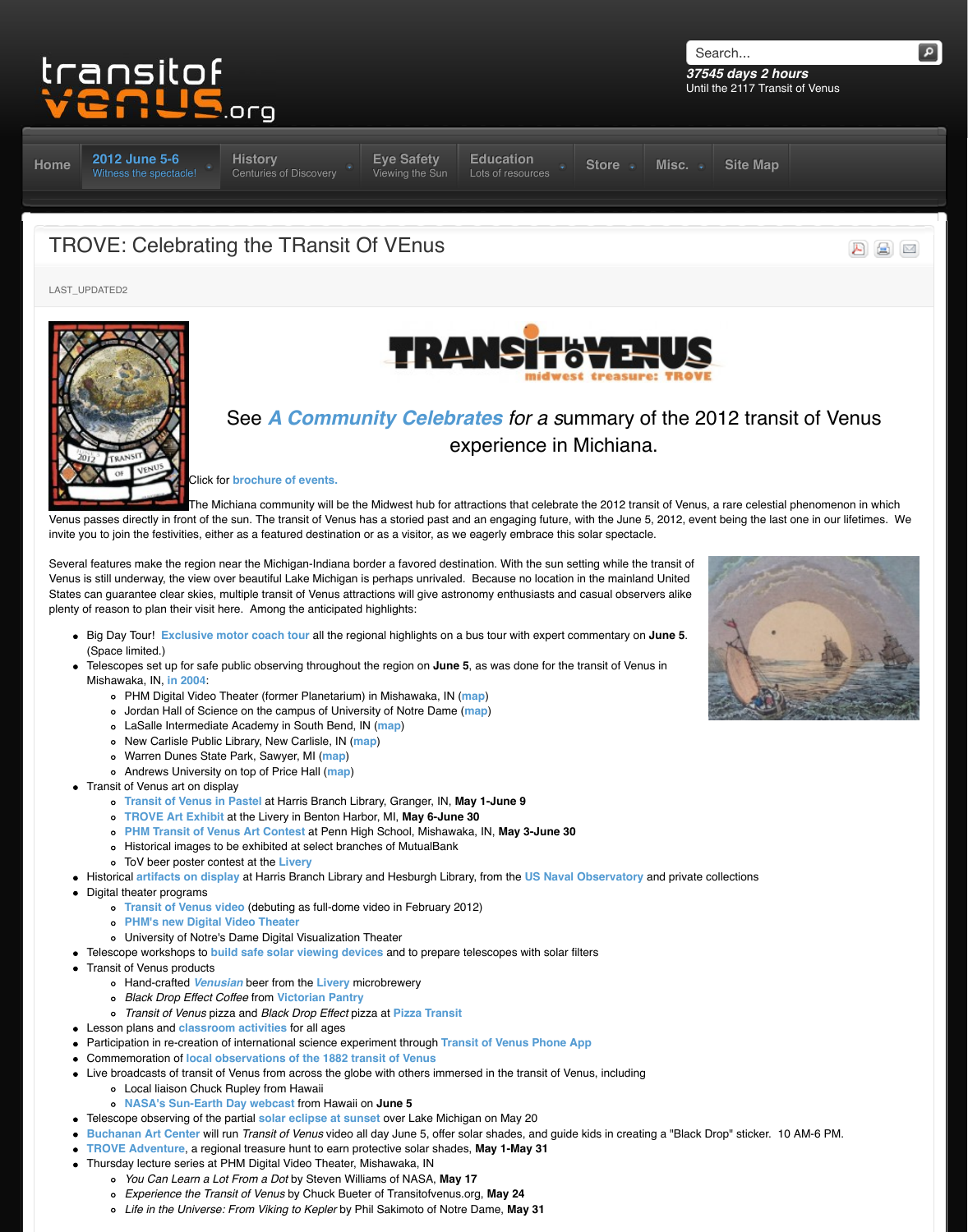

The Michiana community will be the Midwest hub for attractions that celebrate

Venus passes directly in front of the sun. The transit of Venus has a storied past and an engaging future, v invite you to join the festivities, either as a featured destination or as a visitor, as we eagerly embrace this

Several features make the region near the Michigan-Indiana border a favored destination. With the sun setting while the the transit of the the transit of the the transit of the transit of the transit of the transit of the Venus is still underway, the view over beautiful Lake Michigan is perhaps unrivaled. Because no location States can guarantee clear skies, multiple transit of Venus attractions will give astronomy enthusiasts and plenty of reason to plan their visit here. Among the anticipated highlights:

- **Big Day Tour! Exclusive motor coach tour all the re[gional highlights on](http://www.transitofvenus.org/june2012/eye-safety) [a bus tour with expert c](http://www.transitofvenus.org/education)[ommentary on](http://www.transitofvenus.org/store) the 5** (Space limited.)
- [Telescopes set up for safe](http://www.transitofvenus.org/june2012) [public observing throughout](http://www.transitofvenus.org/history) the region on **June 5**, as was done for the Mishawaka, IN, **in 2004**:
	- PHM Digital Video Theater (former Planetarium) in Mishawaka, IN (**map**)
	- Jordan Hall of Science on the campus of University of Notre Dame (**map**)
	- LaSalle Intermediate Academy in South Bend, IN (**map**)
	- New Carlisle Public Library, New Carlisle, IN (**map**)
	- Warren Dunes State Park, Sawyer, MI (**map**)
	- Andrews University on top of Price Hall (**map**)
- Transit of Venus art on display
	- **Transit of Venus in Pastel** at Harris Branch Library, Granger, IN, **May 1-June 9**
	- **TROVE Art Exhibit** at the Livery in Benton Harbor, MI, **May 6-June 30**
	- **PHM Transit of Venus Art Contest** at Penn High [School, Mishawaka, IN,](http://www.transitofvenus.org/images/stories/logo-trove1.jpg) **May 3-June 30**
	- Historical images to be exhibited at select branches of MutualBank
	- ToV beer poster contest at the **Livery**
- Historical **artifacts on display** at Harris Branch Library and Hesburgh Library, from the US Naval
- Digital theater programs
	- **Transit of Venus video** (de[buting as full-dome video in February 2012\)](http://www.transitofvenus.org/history/2004/365-a-community-celebrates)
	- **PHM's new Digital Video Theater**
	- University of Notre's Dame Digital Visualization Theater
- Telescope workshops to **buil[d safe solar viewing](http://www.transitofvenus.org/docs/TROVE_4page.pdf) devices** and to prepare telescopes with solar fi
- Transit of Venus products
	- Hand-crafted *Venusian* beer from the **Livery** microbrewery
	- *Black Drop Effect Coffee* from **Victorian Pantry**
	- *Transit of Venus* pizza and *Black Drop Effect* pizza at **Pizza Transit**
- Lesson plans and **classroom activities** for all ages
- Participation in re-creation of international science experiment through Transit of Venus Phone A
- Commemoration of **local observations of the 1882 transit of Venus**
- Live broadcasts of transit of Venus from across the globe with others immersed in the transit of Ve
	- Local liaison Chuck Rupley from Hawaii
	- **NASA's Sun-Earth Day webcast** from Hawaii on **June 5**
- Telescope obs[erving of the partial](http://www.signaltravel.com/groups/pdf/venus2012.pdf) **solar eclipse at sunset** over Lake Michigan on May 20
- **Buchanan Art Center** will run *Transit of Venus* video all day June 5, offer solar shades, and guide
- **TROVE Adventure**, a regional treasure hunt to earn protective solar shades, **May 1-May 31**
- Thursday lectur[e series](http://www.transitofvenus.org/history/2004) at PHM Digital Video Theater, Mishawaka, IN
	- *You Can Learn a Lot From a Dot* by Steven Williams of NASA, **Ma[y 17](http://www.bing.com/maps/?v=2&cp=qydg217tqxs0&lvl=18.213472132516717&dir=4.722599367318484&sty=b&ss=yp.planetarium%7Epg.1%7Erad.0,225750797931635&form=LMLTCC)**
	- *Experience the Transit of Venus* by Chuck Bueter of Transitofvenus[.org,](http://maps.google.com/maps?q=jordan+hall+science+notre+dame+IN&hl=en&sll=41.747919,-86.176111&sspn=0.012135,0.018647&hnear=Jordan+Hall+of+Science,+Clay,+St+Joseph,+Indiana+46637&t=m&z=16) **May 24**
	- *Life in the Universe: From Viking to Kepler* by Phil [Sakim](http://maps.google.com/maps?q=lasalle+academy&hl=en&fb=1&gl=us&hq=lasalle+academy&hnear=0x881132c44a61d313:0x974ad9b36fa33204,South+Bend,+IN&cid=0,0,4345760556276744560&t=m&z=16&iwloc=A)oto of Notre Dame, **May 31**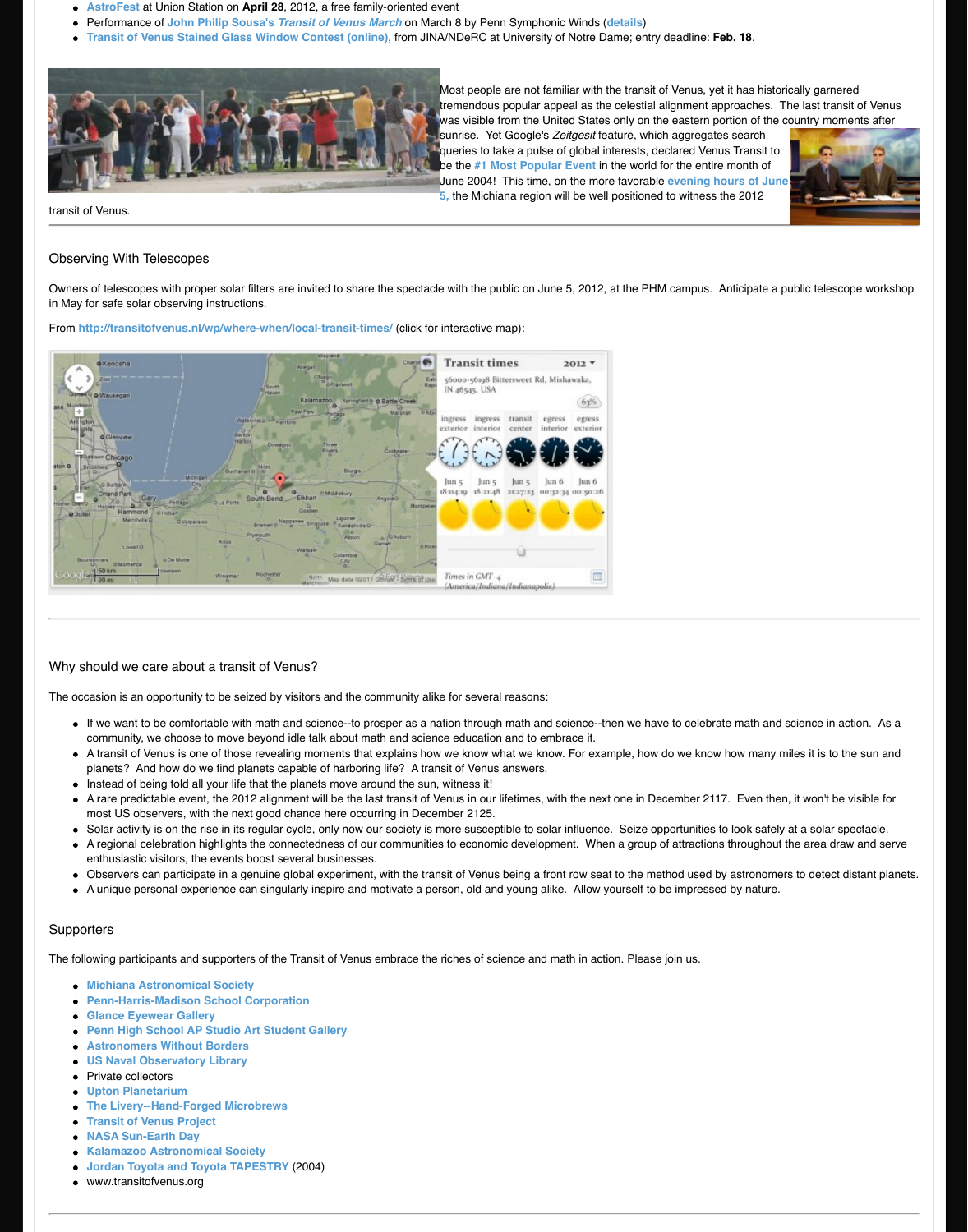

## Why should we care about a transit of Venus?

The occasion is an opportunity to be seized by visitors and the community alike for several reasons:

- $\bullet$  If we want to be comfortable with math and science--to prosper as a nation through math and sciencecommunity, we choose to move beyond idle talk about math and science education and to embrac
- $\bullet$  A transit of Venus is one of those revealing moments that explains how we know what we know. For planets? And how do we find planets capable of harboring life? A transit of Venus answers.
- Instead of being told all your life that the planets move around the sun, witness it!
- $\bullet$  A rare predictable event, the 2012 alignment will be the last transit of Venus in our lifetimes, with the [most US observers, with the next good chance here occurring](http://transitofvenus.nl/wp/where-when/local-transit-times/) in December 2125.
- Solar activity is on the rise in its regular cycle, only now our society is more susceptible to solar inf
- A regional celebration highlights the connectedness of our communities to economic development enthusiastic visitors, the events boost several businesses.
- Observers can participate in a genuine global experiment, with the transit of Venus being a front row
- A unique personal experience can singularly inspire and motivate a person, old and young alike. A

## **Supporters**

The following participants and supporters of the Transit of Venus embrace the riches of science and math

- **Michiana Astronomical Society**
- **Penn-Harris-Madison School Corporation**
- **Glance Eyewear Gallery**
- **Penn High School AP Studio Art Student Gallery**
- **Astronomers Without Borders**
- **US Naval Observatory Library**
- Private collectors
- **Upton Planetarium**
- **The Livery--Hand-Forged Microbrews**
- **Transit of Venus Project**
- **NASA Sun-Earth Day**
- **Kalamazoo Astronomical Society**
- **Jordan Toyota and Toyota TAPESTRY** (2004)
- www.transitofvenus.org